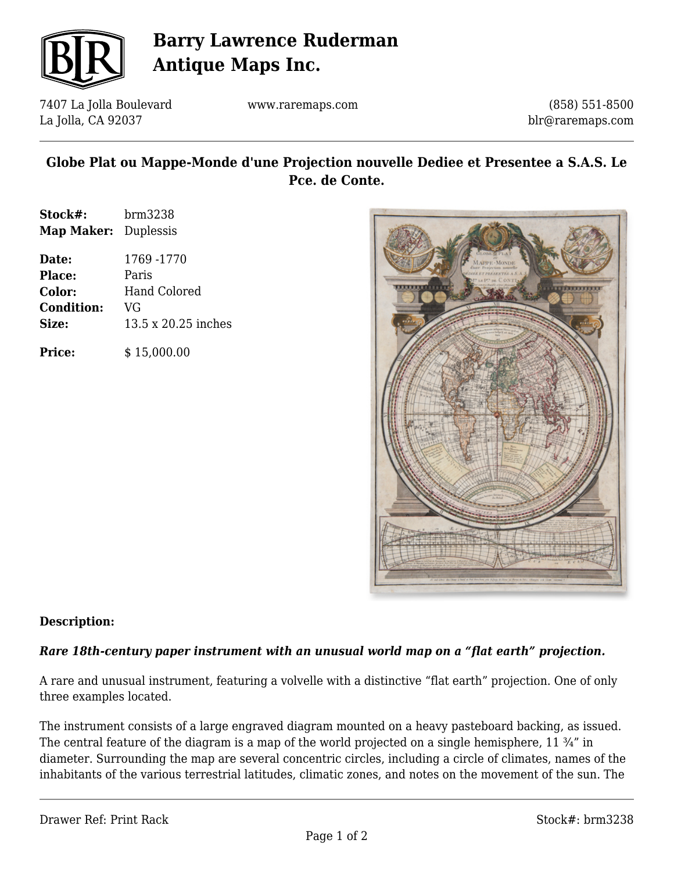

## **Barry Lawrence Ruderman Antique Maps Inc.**

7407 La Jolla Boulevard La Jolla, CA 92037

www.raremaps.com

(858) 551-8500 blr@raremaps.com

### **Globe Plat ou Mappe-Monde d'une Projection nouvelle Dediee et Presentee a S.A.S. Le Pce. de Conte.**

| Stock#:                     | brm3238             |
|-----------------------------|---------------------|
| <b>Map Maker:</b> Duplessis |                     |
| Date:                       | 1769 -1770          |
| Place:                      | Paris               |
| Color:                      | Hand Colored        |
| <b>Condition:</b>           | VG                  |
| Size:                       | 13.5 x 20.25 inches |
|                             |                     |

**Price:**  $$ 15,000.00$ 



## **Description:**

### *Rare 18th-century paper instrument with an unusual world map on a "flat earth" projection.*

A rare and unusual instrument, featuring a volvelle with a distinctive "flat earth" projection. One of only three examples located.

The instrument consists of a large engraved diagram mounted on a heavy pasteboard backing, as issued. The central feature of the diagram is a map of the world projected on a single hemisphere, 11 ¾" in diameter. Surrounding the map are several concentric circles, including a circle of climates, names of the inhabitants of the various terrestrial latitudes, climatic zones, and notes on the movement of the sun. The